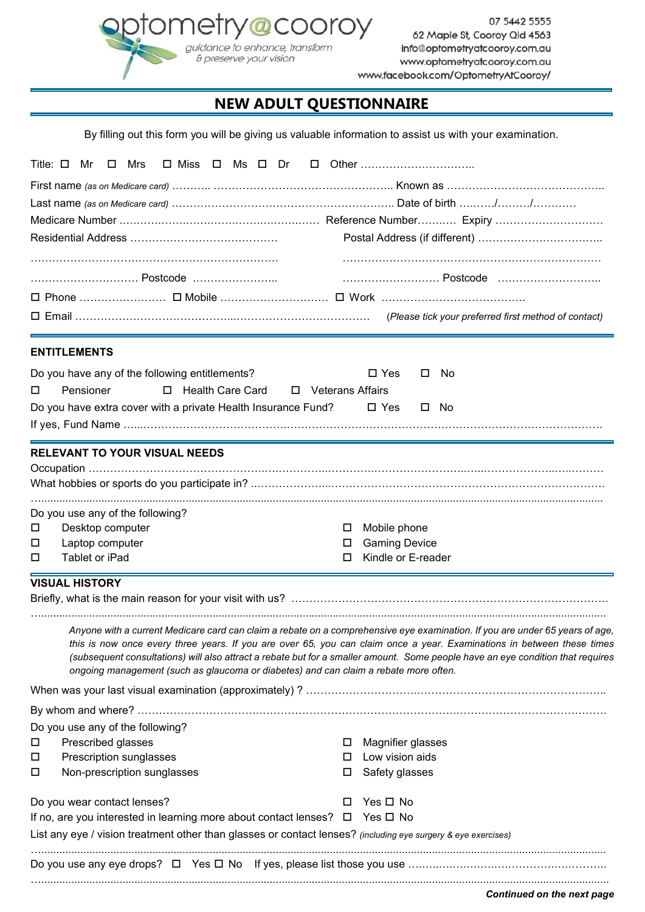

07 5442 5555 62 Maple St, Cooroy Qld 4563 info@optometryatcooroy.com.au www.optometryatcooroy.com.au www.facebook.com/OptometryAtCooroy/

## **NEW ADULT QUESTIONNAIRE**

By filling out this form you will be giving us valuable information to assist us with your examination.

|                                                                                       | $\square$ Miss $\square$ Ms $\square$ Dr<br>Title: $\square$ Mr<br>□ Mrs                                                                                                                                                                                                                                                                                                                                                                                                          |   |                            |  |  |  |
|---------------------------------------------------------------------------------------|-----------------------------------------------------------------------------------------------------------------------------------------------------------------------------------------------------------------------------------------------------------------------------------------------------------------------------------------------------------------------------------------------------------------------------------------------------------------------------------|---|----------------------------|--|--|--|
|                                                                                       |                                                                                                                                                                                                                                                                                                                                                                                                                                                                                   |   |                            |  |  |  |
|                                                                                       |                                                                                                                                                                                                                                                                                                                                                                                                                                                                                   |   |                            |  |  |  |
|                                                                                       |                                                                                                                                                                                                                                                                                                                                                                                                                                                                                   |   |                            |  |  |  |
|                                                                                       |                                                                                                                                                                                                                                                                                                                                                                                                                                                                                   |   |                            |  |  |  |
|                                                                                       |                                                                                                                                                                                                                                                                                                                                                                                                                                                                                   |   |                            |  |  |  |
|                                                                                       |                                                                                                                                                                                                                                                                                                                                                                                                                                                                                   |   |                            |  |  |  |
|                                                                                       |                                                                                                                                                                                                                                                                                                                                                                                                                                                                                   |   |                            |  |  |  |
|                                                                                       | the control of the control of the control of the control of the control of the control of the control of the control of the control of the control of the control of the control of the control of the control of the control<br><b>ENTITLEMENTS</b>                                                                                                                                                                                                                              |   |                            |  |  |  |
|                                                                                       | Do you have any of the following entitlements?                                                                                                                                                                                                                                                                                                                                                                                                                                    |   | $\Box$ Yes<br>No<br>□      |  |  |  |
| □                                                                                     | Pensioner<br>□ Health Care Card<br>□ Veterans Affairs                                                                                                                                                                                                                                                                                                                                                                                                                             |   |                            |  |  |  |
|                                                                                       | Do you have extra cover with a private Health Insurance Fund?                                                                                                                                                                                                                                                                                                                                                                                                                     |   | $\Box$ Yes<br>$\square$ No |  |  |  |
|                                                                                       |                                                                                                                                                                                                                                                                                                                                                                                                                                                                                   |   |                            |  |  |  |
|                                                                                       | <b>RELEVANT TO YOUR VISUAL NEEDS</b>                                                                                                                                                                                                                                                                                                                                                                                                                                              |   |                            |  |  |  |
|                                                                                       |                                                                                                                                                                                                                                                                                                                                                                                                                                                                                   |   |                            |  |  |  |
|                                                                                       |                                                                                                                                                                                                                                                                                                                                                                                                                                                                                   |   |                            |  |  |  |
|                                                                                       | Do you use any of the following?                                                                                                                                                                                                                                                                                                                                                                                                                                                  |   |                            |  |  |  |
| □                                                                                     | Desktop computer                                                                                                                                                                                                                                                                                                                                                                                                                                                                  | □ | Mobile phone               |  |  |  |
| □                                                                                     | Laptop computer                                                                                                                                                                                                                                                                                                                                                                                                                                                                   | ш | <b>Gaming Device</b>       |  |  |  |
| □                                                                                     | Tablet or iPad                                                                                                                                                                                                                                                                                                                                                                                                                                                                    | □ | Kindle or E-reader         |  |  |  |
|                                                                                       | <b>VISUAL HISTORY</b>                                                                                                                                                                                                                                                                                                                                                                                                                                                             |   |                            |  |  |  |
|                                                                                       |                                                                                                                                                                                                                                                                                                                                                                                                                                                                                   |   |                            |  |  |  |
|                                                                                       | Anyone with a current Medicare card can claim a rebate on a comprehensive eye examination. If you are under 65 years of age,<br>this is now once every three years. If you are over 65, you can claim once a year. Examinations in between these times<br>(subsequent consultations) will also attract a rebate but for a smaller amount. Some people have an eye condition that requires<br>ongoing management (such as glaucoma or diabetes) and can claim a rebate more often. |   |                            |  |  |  |
|                                                                                       |                                                                                                                                                                                                                                                                                                                                                                                                                                                                                   |   |                            |  |  |  |
|                                                                                       |                                                                                                                                                                                                                                                                                                                                                                                                                                                                                   |   |                            |  |  |  |
|                                                                                       | Do you use any of the following?                                                                                                                                                                                                                                                                                                                                                                                                                                                  |   |                            |  |  |  |
| □                                                                                     | Prescribed glasses                                                                                                                                                                                                                                                                                                                                                                                                                                                                | □ | Magnifier glasses          |  |  |  |
| □                                                                                     | Prescription sunglasses                                                                                                                                                                                                                                                                                                                                                                                                                                                           | □ | Low vision aids            |  |  |  |
| $\Box$                                                                                | Non-prescription sunglasses                                                                                                                                                                                                                                                                                                                                                                                                                                                       | 0 | Safety glasses             |  |  |  |
|                                                                                       | Do you wear contact lenses?                                                                                                                                                                                                                                                                                                                                                                                                                                                       | П | Yes $\Box$ No              |  |  |  |
| If no, are you interested in learning more about contact lenses? $\Box$ Yes $\Box$ No |                                                                                                                                                                                                                                                                                                                                                                                                                                                                                   |   |                            |  |  |  |
|                                                                                       | List any eye / vision treatment other than glasses or contact lenses? (including eye surgery & eye exercises)                                                                                                                                                                                                                                                                                                                                                                     |   |                            |  |  |  |
|                                                                                       |                                                                                                                                                                                                                                                                                                                                                                                                                                                                                   |   |                            |  |  |  |
|                                                                                       |                                                                                                                                                                                                                                                                                                                                                                                                                                                                                   |   |                            |  |  |  |